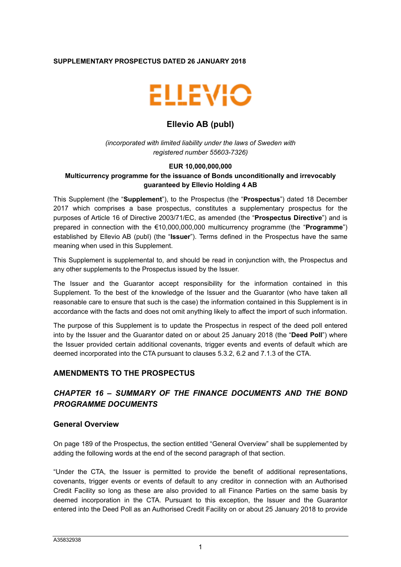### **SUPPLEMENTARY PROSPECTUS DATED 26 JANUARY 2018**



# **Ellevio AB (publ)**

*(incorporated with limited liability under the laws of Sweden with registered number 55603-7326)*

### **EUR 10,000,000,000 Multicurrency programme for the issuance of Bonds unconditionally and irrevocably guaranteed by Ellevio Holding 4 AB**

This Supplement (the "**Supplement**"), to the Prospectus (the "**Prospectus**") dated 18 December 2017 which comprises a base prospectus, constitutes a supplementary prospectus for the purposes of Article 16 of Directive 2003/71/EC, as amended (the "**Prospectus Directive**") and is prepared in connection with the €10,000,000,000 multicurrency programme (the "**Programme**") established by Ellevio AB (publ) (the "**Issuer**"). Terms defined in the Prospectus have the same meaning when used in this Supplement.

This Supplement is supplemental to, and should be read in conjunction with, the Prospectus and any other supplements to the Prospectus issued by the Issuer.

The Issuer and the Guarantor accept responsibility for the information contained in this Supplement. To the best of the knowledge of the Issuer and the Guarantor (who have taken all reasonable care to ensure that such is the case) the information contained in this Supplement is in accordance with the facts and does not omit anything likely to affect the import of such information.

The purpose of this Supplement is to update the Prospectus in respect of the deed poll entered into by the Issuer and the Guarantor dated on or about 25 January 2018 (the "**Deed Poll**") where the Issuer provided certain additional covenants, trigger events and events of default which are deemed incorporated into the CTA pursuant to clauses 5.3.2, 6.2 and 7.1.3 of the CTA.

# **AMENDMENTS TO THE PROSPECTUS**

# *CHAPTER 16 – SUMMARY OF THE FINANCE DOCUMENTS AND THE BOND PROGRAMME DOCUMENTS*

## **General Overview**

On page 189 of the Prospectus, the section entitled "General Overview" shall be supplemented by adding the following words at the end of the second paragraph of that section.

"Under the CTA, the Issuer is permitted to provide the benefit of additional representations, covenants, trigger events or events of default to any creditor in connection with an Authorised Credit Facility so long as these are also provided to all Finance Parties on the same basis by deemed incorporation in the CTA. Pursuant to this exception, the Issuer and the Guarantor entered into the Deed Poll as an Authorised Credit Facility on or about 25 January 2018 to provide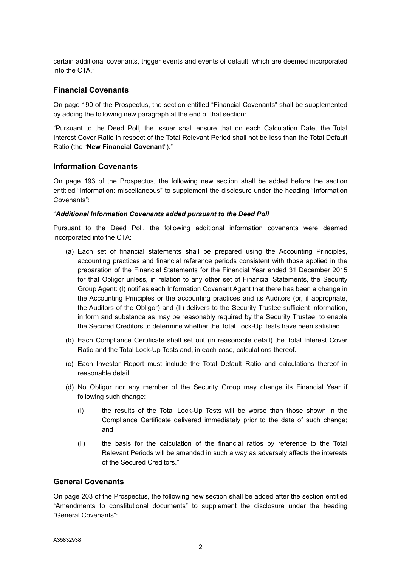certain additional covenants, trigger events and events of default, which are deemed incorporated into the CTA."

## **Financial Covenants**

On page 190 of the Prospectus, the section entitled "Financial Covenants" shall be supplemented by adding the following new paragraph at the end of that section:

"Pursuant to the Deed Poll, the Issuer shall ensure that on each Calculation Date, the Total Interest Cover Ratio in respect of the Total Relevant Period shall not be less than the Total Default Ratio (the "**New Financial Covenant**")."

## **Information Covenants**

On page 193 of the Prospectus, the following new section shall be added before the section entitled "Information: miscellaneous" to supplement the disclosure under the heading "Information Covenants":

#### "*Additional Information Covenants added pursuant to the Deed Poll*

Pursuant to the Deed Poll, the following additional information covenants were deemed incorporated into the CTA:

- (a) Each set of financial statements shall be prepared using the Accounting Principles, accounting practices and financial reference periods consistent with those applied in the preparation of the Financial Statements for the Financial Year ended 31 December 2015 for that Obligor unless, in relation to any other set of Financial Statements, the Security Group Agent: (I) notifies each Information Covenant Agent that there has been a change in the Accounting Principles or the accounting practices and its Auditors (or, if appropriate, the Auditors of the Obligor) and (II) delivers to the Security Trustee sufficient information, in form and substance as may be reasonably required by the Security Trustee, to enable the Secured Creditors to determine whether the Total Lock-Up Tests have been satisfied.
- (b) Each Compliance Certificate shall set out (in reasonable detail) the Total Interest Cover Ratio and the Total Lock-Up Tests and, in each case, calculations thereof.
- (c) Each Investor Report must include the Total Default Ratio and calculations thereof in reasonable detail.
- (d) No Obligor nor any member of the Security Group may change its Financial Year if following such change:
	- (i) the results of the Total Lock-Up Tests will be worse than those shown in the Compliance Certificate delivered immediately prior to the date of such change; and
	- (ii) the basis for the calculation of the financial ratios by reference to the Total Relevant Periods will be amended in such a way as adversely affects the interests of the Secured Creditors."

## **General Covenants**

On page 203 of the Prospectus, the following new section shall be added after the section entitled "Amendments to constitutional documents" to supplement the disclosure under the heading "General Covenants":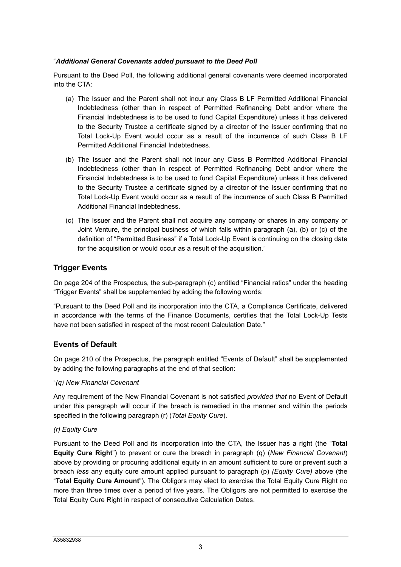### "*Additional General Covenants added pursuant to the Deed Poll*

Pursuant to the Deed Poll, the following additional general covenants were deemed incorporated into the CTA:

- (a) The Issuer and the Parent shall not incur any Class B LF Permitted Additional Financial Indebtedness (other than in respect of Permitted Refinancing Debt and/or where the Financial Indebtedness is to be used to fund Capital Expenditure) unless it has delivered to the Security Trustee a certificate signed by a director of the Issuer confirming that no Total Lock-Up Event would occur as a result of the incurrence of such Class B LF Permitted Additional Financial Indebtedness.
- (b) The Issuer and the Parent shall not incur any Class B Permitted Additional Financial Indebtedness (other than in respect of Permitted Refinancing Debt and/or where the Financial Indebtedness is to be used to fund Capital Expenditure) unless it has delivered to the Security Trustee a certificate signed by a director of the Issuer confirming that no Total Lock-Up Event would occur as a result of the incurrence of such Class B Permitted Additional Financial Indebtedness.
- (c) The Issuer and the Parent shall not acquire any company or shares in any company or Joint Venture, the principal business of which falls within paragraph (a), (b) or (c) of the definition of "Permitted Business" if a Total Lock-Up Event is continuing on the closing date for the acquisition or would occur as a result of the acquisition."

## **Trigger Events**

On page 204 of the Prospectus, the sub-paragraph (c) entitled "Financial ratios" under the heading "Trigger Events" shall be supplemented by adding the following words:

"Pursuant to the Deed Poll and its incorporation into the CTA, a Compliance Certificate, delivered in accordance with the terms of the Finance Documents, certifies that the Total Lock-Up Tests have not been satisfied in respect of the most recent Calculation Date."

# **Events of Default**

On page 210 of the Prospectus, the paragraph entitled "Events of Default" shall be supplemented by adding the following paragraphs at the end of that section:

#### "*(q) New Financial Covenant*

Any requirement of the New Financial Covenant is not satisfied *provided that* no Event of Default under this paragraph will occur if the breach is remedied in the manner and within the periods specified in the following paragraph (r) (*Total Equity Cure*).

#### *(r) Equity Cure*

Pursuant to the Deed Poll and its incorporation into the CTA, the Issuer has a right (the "**Total Equity Cure Right**") to prevent or cure the breach in paragraph (q) (*New Financial Covenant*) above by providing or procuring additional equity in an amount sufficient to cure or prevent such a breach *less* any equity cure amount applied pursuant to paragraph (p) *(Equity Cure)* above (the "**Total Equity Cure Amount**"). The Obligors may elect to exercise the Total Equity Cure Right no more than three times over a period of five years. The Obligors are not permitted to exercise the Total Equity Cure Right in respect of consecutive Calculation Dates.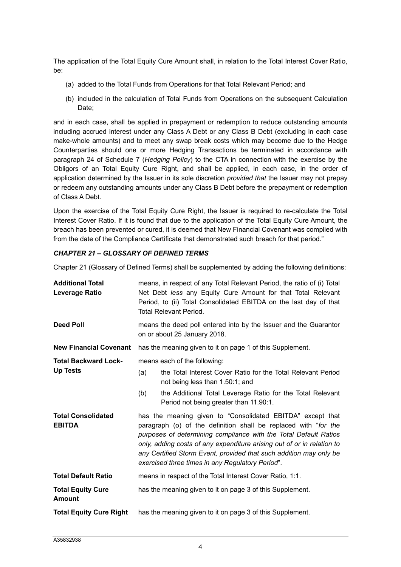The application of the Total Equity Cure Amount shall, in relation to the Total Interest Cover Ratio, be:

- (a) added to the Total Funds from Operations for that Total Relevant Period; and
- (b) included in the calculation of Total Funds from Operations on the subsequent Calculation Date:

and in each case, shall be applied in prepayment or redemption to reduce outstanding amounts including accrued interest under any Class A Debt or any Class B Debt (excluding in each case make-whole amounts) and to meet any swap break costs which may become due to the Hedge Counterparties should one or more Hedging Transactions be terminated in accordance with paragraph 24 of Schedule 7 (*Hedging Policy*) to the CTA in connection with the exercise by the Obligors of an Total Equity Cure Right, and shall be applied, in each case, in the order of application determined by the Issuer in its sole discretion *provided that* the Issuer may not prepay or redeem any outstanding amounts under any Class B Debt before the prepayment or redemption of Class A Debt.

Upon the exercise of the Total Equity Cure Right, the Issuer is required to re-calculate the Total Interest Cover Ratio. If it is found that due to the application of the Total Equity Cure Amount, the breach has been prevented or cured, it is deemed that New Financial Covenant was complied with from the date of the Compliance Certificate that demonstrated such breach for that period."

### *CHAPTER 21 – GLOSSARY OF DEFINED TERMS*

Chapter 21 (Glossary of Defined Terms) shall be supplemented by adding the following definitions:

| <b>Additional Total</b><br>Leverage Ratio      | means, in respect of any Total Relevant Period, the ratio of (i) Total<br>Net Debt less any Equity Cure Amount for that Total Relevant<br>Period, to (ii) Total Consolidated EBITDA on the last day of that<br><b>Total Relevant Period.</b>                                                                                                                                                          |  |  |
|------------------------------------------------|-------------------------------------------------------------------------------------------------------------------------------------------------------------------------------------------------------------------------------------------------------------------------------------------------------------------------------------------------------------------------------------------------------|--|--|
| <b>Deed Poll</b>                               | means the deed poll entered into by the Issuer and the Guarantor<br>on or about 25 January 2018.                                                                                                                                                                                                                                                                                                      |  |  |
| <b>New Financial Covenant</b>                  | has the meaning given to it on page 1 of this Supplement.                                                                                                                                                                                                                                                                                                                                             |  |  |
| <b>Total Backward Lock-</b><br><b>Up Tests</b> | means each of the following:                                                                                                                                                                                                                                                                                                                                                                          |  |  |
|                                                | the Total Interest Cover Ratio for the Total Relevant Period<br>(a)<br>not being less than 1.50:1; and                                                                                                                                                                                                                                                                                                |  |  |
|                                                | the Additional Total Leverage Ratio for the Total Relevant<br>(b)<br>Period not being greater than 11.90:1.                                                                                                                                                                                                                                                                                           |  |  |
| <b>Total Consolidated</b><br><b>EBITDA</b>     | has the meaning given to "Consolidated EBITDA" except that<br>paragraph (o) of the definition shall be replaced with "for the<br>purposes of determining compliance with the Total Default Ratios<br>only, adding costs of any expenditure arising out of or in relation to<br>any Certified Storm Event, provided that such addition may only be<br>exercised three times in any Regulatory Period". |  |  |
| <b>Total Default Ratio</b>                     | means in respect of the Total Interest Cover Ratio, 1:1.                                                                                                                                                                                                                                                                                                                                              |  |  |
| <b>Total Equity Cure</b><br><b>Amount</b>      | has the meaning given to it on page 3 of this Supplement.                                                                                                                                                                                                                                                                                                                                             |  |  |
| <b>Total Equity Cure Right</b>                 | has the meaning given to it on page 3 of this Supplement.                                                                                                                                                                                                                                                                                                                                             |  |  |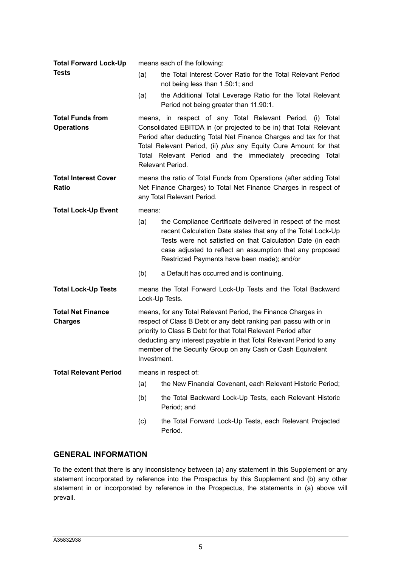| <b>Total Forward Lock-Up</b>                 | means each of the following:                                                                                                                                                                                                                                                                                                                            |                                                                                                                                                                                                                                                                                                                                                           |  |  |
|----------------------------------------------|---------------------------------------------------------------------------------------------------------------------------------------------------------------------------------------------------------------------------------------------------------------------------------------------------------------------------------------------------------|-----------------------------------------------------------------------------------------------------------------------------------------------------------------------------------------------------------------------------------------------------------------------------------------------------------------------------------------------------------|--|--|
| <b>Tests</b>                                 | (a)                                                                                                                                                                                                                                                                                                                                                     | the Total Interest Cover Ratio for the Total Relevant Period<br>not being less than 1.50:1; and                                                                                                                                                                                                                                                           |  |  |
|                                              | (a)                                                                                                                                                                                                                                                                                                                                                     | the Additional Total Leverage Ratio for the Total Relevant<br>Period not being greater than 11.90:1.                                                                                                                                                                                                                                                      |  |  |
| <b>Total Funds from</b><br><b>Operations</b> |                                                                                                                                                                                                                                                                                                                                                         | means, in respect of any Total Relevant Period, (i) Total<br>Consolidated EBITDA in (or projected to be in) that Total Relevant<br>Period after deducting Total Net Finance Charges and tax for that<br>Total Relevant Period, (ii) plus any Equity Cure Amount for that<br>Total Relevant Period and the immediately preceding Total<br>Relevant Period. |  |  |
| <b>Total Interest Cover</b><br>Ratio         | means the ratio of Total Funds from Operations (after adding Total<br>Net Finance Charges) to Total Net Finance Charges in respect of<br>any Total Relevant Period.                                                                                                                                                                                     |                                                                                                                                                                                                                                                                                                                                                           |  |  |
| <b>Total Lock-Up Event</b>                   | means:                                                                                                                                                                                                                                                                                                                                                  |                                                                                                                                                                                                                                                                                                                                                           |  |  |
|                                              | (a)                                                                                                                                                                                                                                                                                                                                                     | the Compliance Certificate delivered in respect of the most<br>recent Calculation Date states that any of the Total Lock-Up<br>Tests were not satisfied on that Calculation Date (in each<br>case adjusted to reflect an assumption that any proposed<br>Restricted Payments have been made); and/or                                                      |  |  |
|                                              | (b)                                                                                                                                                                                                                                                                                                                                                     | a Default has occurred and is continuing.                                                                                                                                                                                                                                                                                                                 |  |  |
| <b>Total Lock-Up Tests</b>                   | means the Total Forward Lock-Up Tests and the Total Backward<br>Lock-Up Tests.                                                                                                                                                                                                                                                                          |                                                                                                                                                                                                                                                                                                                                                           |  |  |
| <b>Total Net Finance</b><br><b>Charges</b>   | means, for any Total Relevant Period, the Finance Charges in<br>respect of Class B Debt or any debt ranking pari passu with or in<br>priority to Class B Debt for that Total Relevant Period after<br>deducting any interest payable in that Total Relevant Period to any<br>member of the Security Group on any Cash or Cash Equivalent<br>Investment. |                                                                                                                                                                                                                                                                                                                                                           |  |  |
| <b>Total Relevant Period</b>                 | means in respect of:                                                                                                                                                                                                                                                                                                                                    |                                                                                                                                                                                                                                                                                                                                                           |  |  |
|                                              | (a)                                                                                                                                                                                                                                                                                                                                                     | the New Financial Covenant, each Relevant Historic Period;                                                                                                                                                                                                                                                                                                |  |  |
|                                              | (b)                                                                                                                                                                                                                                                                                                                                                     | the Total Backward Lock-Up Tests, each Relevant Historic<br>Period; and                                                                                                                                                                                                                                                                                   |  |  |
|                                              | (c)                                                                                                                                                                                                                                                                                                                                                     | the Total Forward Lock-Up Tests, each Relevant Projected<br>Period.                                                                                                                                                                                                                                                                                       |  |  |

# **GENERAL INFORMATION**

To the extent that there is any inconsistency between (a) any statement in this Supplement or any statement incorporated by reference into the Prospectus by this Supplement and (b) any other statement in or incorporated by reference in the Prospectus, the statements in (a) above will prevail.